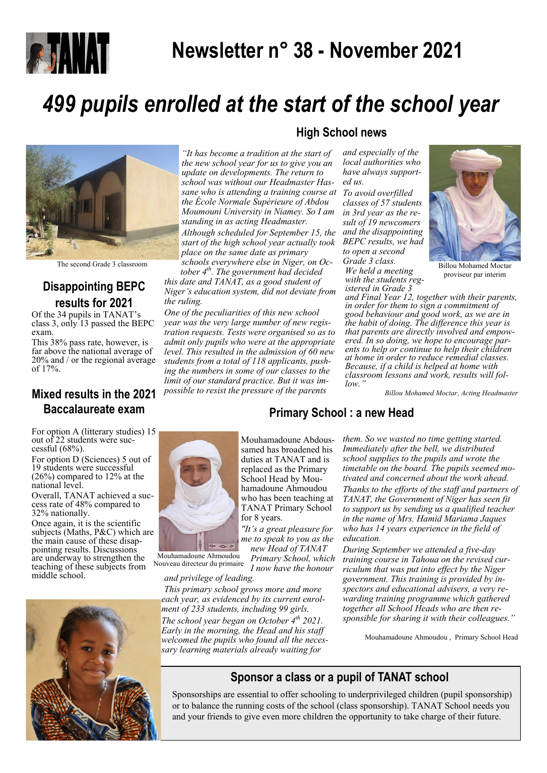

# **Newsletter n° 38 - November 2021**

# *499 pupils enrolled at the start of the school year*



The second Grade 3 classroom

# **Disappointing BEPC results for 2021**

Of the 34 pupils in TANAT's class 3, only 13 passed the BEPC exam.

This 38% pass rate, however, is far above the national average of 20% and / or the regional average of 17%.

## **Mixed results in the 2021 Baccalaureate exam**

For option A (litterary studies) 15 out of 22 students were successful (68%).

For option D (Sciences) 5 out of 19 students were successful (26%) compared to 12% at the national level.

Overall, TANAT achieved a success rate of 48% compared to 32% nationally.

Once again, it is the scientific subjects (Maths, P&C) which are the main cause of these disappointing results. Discussions are underway to strengthen the teaching of these subjects from middle school. Nouveau directeur du primaire



### **High School news**

*"It has become a tradition at the start of the new school year for us to give you an update on developments. The return to school was without our Headmaster Hassane who is attending a training course at the École Normale Supérieure of Abdou Moumouni University in Niamey. So I am standing in as acting Headmaster.*

*Although scheduled for September 15, the start of the high school year actually took place on the same date as primary schools everywhere else in Niger, on Oc-*

*tober 4th. The government had decided this date and TANAT, as a good student of Niger's education system, did not deviate from the ruling.*

*One of the peculiarities of this new school year was the very large number of new registration requests. Tests were organised so as to admit only pupils who were at the appropriate level. This resulted in the admission of 60 new students from a total of 118 applicants, pushing the numbers in some of our classes to the limit of our standard practice. But it was impossible to resist the pressure of the parents* 

*and especially of the local authorities who have always supported us.*

*To avoid overfilled classes of 57 students in 3rd year as the result of 19 newcomers and the disappointing BEPC results, we had to open a second Grade 3 class. We held a meeting* 





Billou Mohamed Moctar proviseur par interim

*and Final Year 12, together with their parents, in order for them to sign a commitment of good behaviour and good work, as we are in the habit of doing. The difference this year is that parents are directly involved and empowered. In so doing, we hope to encourage parents to help or continue to help their children at home in order to reduce remedial classes. Because, if a child is helped at home with classroom lessons and work, results will follow."*

*Billou Mohamed Moctar, Acting Headmaster* 



*and privilege of leading.*

Mouhamadoune Ahmoudou

*This primary school grows more and more* 

Mouhamadoune Abdoussamed has broadened his duties at TANAT and is

*new Head of TANAT Primary School, which I now have the honour* 

*them. So we wasted no time getting started. Immediately after the bell, we distributed school supplies to the pupils and wrote the timetable on the board. The pupils seemed motivated and concerned about the work ahead. Thanks to the efforts of the staff and partners of TANAT, the Government of Niger has seen fit to support us by sending us a qualified teacher in the name of Mrs. Hamid Mariama Jaques who has 14 years experience in the field of education.*

*During September we attended a five-day training course in Tahoua on the revised curriculum that was put into effect by the Niger government. This training is provided by inspectors and educational advisers, a very rewarding training programme which gathered together all School Heads who are then responsible for sharing it with their colleagues."*

Mouhamadoune Ahmoudou , Primary School Head

## **Sponsor a class or a pupil of TANAT school**

Sponsorships are essential to offer schooling to underprivileged children (pupil sponsorship) or to balance the running costs of the school (class sponsorship). TANAT School needs you and your friends to give even more children the opportunity to take charge of their future.

# **Primary School : a new Head**